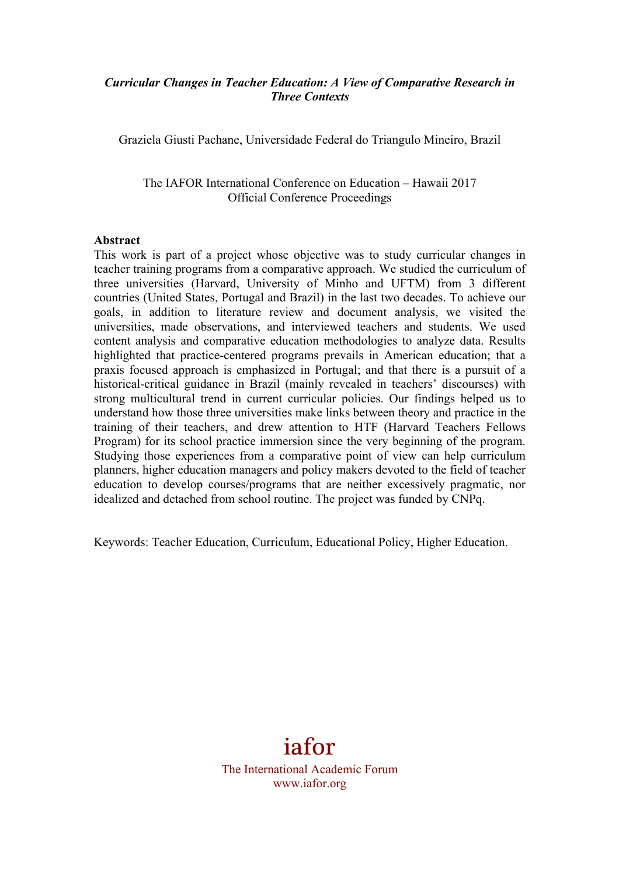### *Curricular Changes in Teacher Education: A View of Comparative Research in Three Contexts*

Graziela Giusti Pachane, Universidade Federal do Triangulo Mineiro, Brazil

The IAFOR International Conference on Education – Hawaii 2017 Official Conference Proceedings

#### **Abstract**

This work is part of a project whose objective was to study curricular changes in teacher training programs from a comparative approach. We studied the curriculum of three universities (Harvard, University of Minho and UFTM) from 3 different countries (United States, Portugal and Brazil) in the last two decades. To achieve our goals, in addition to literature review and document analysis, we visited the universities, made observations, and interviewed teachers and students. We used content analysis and comparative education methodologies to analyze data. Results highlighted that practice-centered programs prevails in American education; that a praxis focused approach is emphasized in Portugal; and that there is a pursuit of a historical-critical guidance in Brazil (mainly revealed in teachers' discourses) with strong multicultural trend in current curricular policies. Our findings helped us to understand how those three universities make links between theory and practice in the training of their teachers, and drew attention to HTF (Harvard Teachers Fellows Program) for its school practice immersion since the very beginning of the program. Studying those experiences from a comparative point of view can help curriculum planners, higher education managers and policy makers devoted to the field of teacher education to develop courses/programs that are neither excessively pragmatic, nor idealized and detached from school routine. The project was funded by CNPq.

Keywords: Teacher Education, Curriculum, Educational Policy, Higher Education.

# iafor

The International Academic Forum www.iafor.org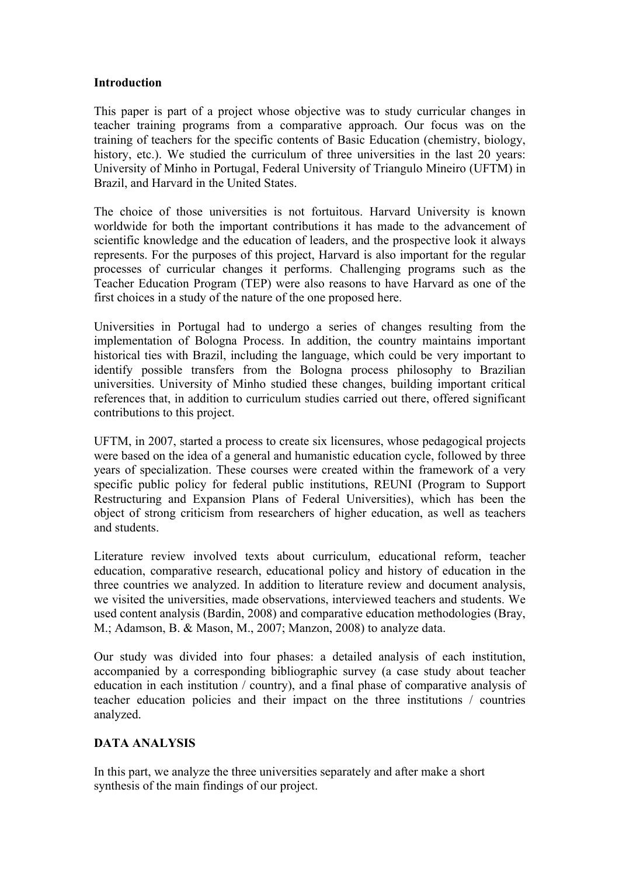#### **Introduction**

This paper is part of a project whose objective was to study curricular changes in teacher training programs from a comparative approach. Our focus was on the training of teachers for the specific contents of Basic Education (chemistry, biology, history, etc.). We studied the curriculum of three universities in the last 20 years: University of Minho in Portugal, Federal University of Triangulo Mineiro (UFTM) in Brazil, and Harvard in the United States.

The choice of those universities is not fortuitous. Harvard University is known worldwide for both the important contributions it has made to the advancement of scientific knowledge and the education of leaders, and the prospective look it always represents. For the purposes of this project, Harvard is also important for the regular processes of curricular changes it performs. Challenging programs such as the Teacher Education Program (TEP) were also reasons to have Harvard as one of the first choices in a study of the nature of the one proposed here.

Universities in Portugal had to undergo a series of changes resulting from the implementation of Bologna Process. In addition, the country maintains important historical ties with Brazil, including the language, which could be very important to identify possible transfers from the Bologna process philosophy to Brazilian universities. University of Minho studied these changes, building important critical references that, in addition to curriculum studies carried out there, offered significant contributions to this project.

UFTM, in 2007, started a process to create six licensures, whose pedagogical projects were based on the idea of a general and humanistic education cycle, followed by three years of specialization. These courses were created within the framework of a very specific public policy for federal public institutions, REUNI (Program to Support Restructuring and Expansion Plans of Federal Universities), which has been the object of strong criticism from researchers of higher education, as well as teachers and students.

Literature review involved texts about curriculum, educational reform, teacher education, comparative research, educational policy and history of education in the three countries we analyzed. In addition to literature review and document analysis, we visited the universities, made observations, interviewed teachers and students. We used content analysis (Bardin, 2008) and comparative education methodologies (Bray, M.; Adamson, B. & Mason, M., 2007; Manzon, 2008) to analyze data.

Our study was divided into four phases: a detailed analysis of each institution, accompanied by a corresponding bibliographic survey (a case study about teacher education in each institution / country), and a final phase of comparative analysis of teacher education policies and their impact on the three institutions / countries analyzed.

## **DATA ANALYSIS**

In this part, we analyze the three universities separately and after make a short synthesis of the main findings of our project.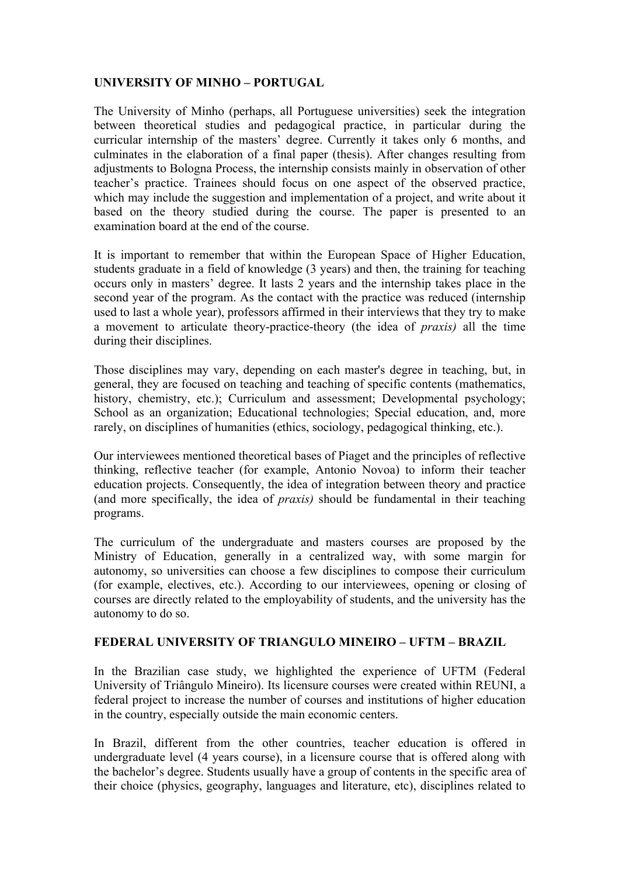## **UNIVERSITY OF MINHO – PORTUGAL**

The University of Minho (perhaps, all Portuguese universities) seek the integration between theoretical studies and pedagogical practice, in particular during the curricular internship of the masters' degree. Currently it takes only 6 months, and culminates in the elaboration of a final paper (thesis). After changes resulting from adjustments to Bologna Process, the internship consists mainly in observation of other teacher's practice. Trainees should focus on one aspect of the observed practice, which may include the suggestion and implementation of a project, and write about it based on the theory studied during the course. The paper is presented to an examination board at the end of the course.

It is important to remember that within the European Space of Higher Education, students graduate in a field of knowledge (3 years) and then, the training for teaching occurs only in masters' degree. It lasts 2 years and the internship takes place in the second year of the program. As the contact with the practice was reduced (internship used to last a whole year), professors affirmed in their interviews that they try to make a movement to articulate theory-practice-theory (the idea of *praxis)* all the time during their disciplines.

Those disciplines may vary, depending on each master's degree in teaching, but, in general, they are focused on teaching and teaching of specific contents (mathematics, history, chemistry, etc.); Curriculum and assessment; Developmental psychology; School as an organization; Educational technologies; Special education, and, more rarely, on disciplines of humanities (ethics, sociology, pedagogical thinking, etc.).

Our interviewees mentioned theoretical bases of Piaget and the principles of reflective thinking, reflective teacher (for example, Antonio Novoa) to inform their teacher education projects. Consequently, the idea of integration between theory and practice (and more specifically, the idea of *praxis)* should be fundamental in their teaching programs.

The curriculum of the undergraduate and masters courses are proposed by the Ministry of Education, generally in a centralized way, with some margin for autonomy, so universities can choose a few disciplines to compose their curriculum (for example, electives, etc.). According to our interviewees, opening or closing of courses are directly related to the employability of students, and the university has the autonomy to do so.

## **FEDERAL UNIVERSITY OF TRIANGULO MINEIRO – UFTM – BRAZIL**

In the Brazilian case study, we highlighted the experience of UFTM (Federal University of Triângulo Mineiro). Its licensure courses were created within REUNI, a federal project to increase the number of courses and institutions of higher education in the country, especially outside the main economic centers.

In Brazil, different from the other countries, teacher education is offered in undergraduate level (4 years course), in a licensure course that is offered along with the bachelor's degree. Students usually have a group of contents in the specific area of their choice (physics, geography, languages and literature, etc), disciplines related to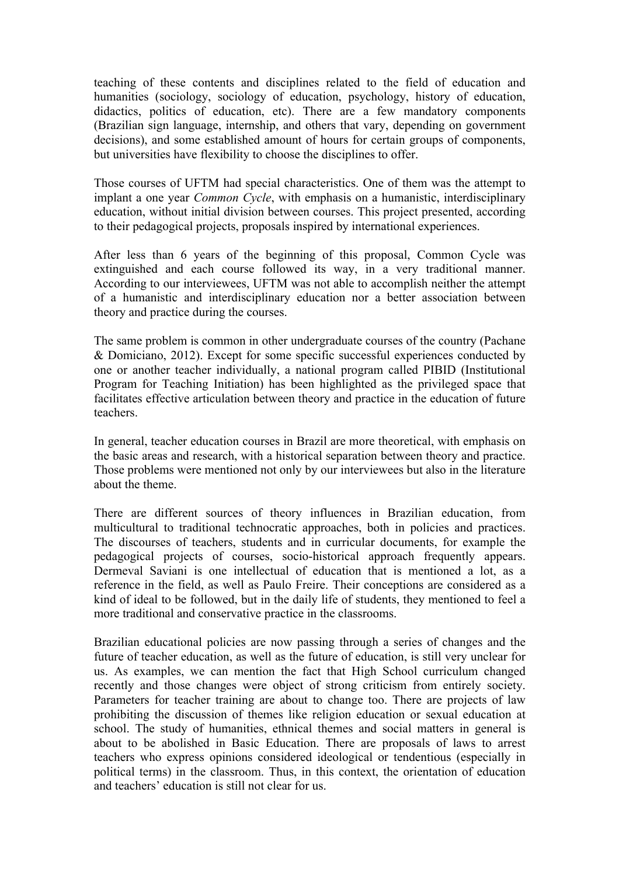teaching of these contents and disciplines related to the field of education and humanities (sociology, sociology of education, psychology, history of education, didactics, politics of education, etc). There are a few mandatory components (Brazilian sign language, internship, and others that vary, depending on government decisions), and some established amount of hours for certain groups of components, but universities have flexibility to choose the disciplines to offer.

Those courses of UFTM had special characteristics. One of them was the attempt to implant a one year *Common Cycle*, with emphasis on a humanistic, interdisciplinary education, without initial division between courses. This project presented, according to their pedagogical projects, proposals inspired by international experiences.

After less than 6 years of the beginning of this proposal, Common Cycle was extinguished and each course followed its way, in a very traditional manner. According to our interviewees, UFTM was not able to accomplish neither the attempt of a humanistic and interdisciplinary education nor a better association between theory and practice during the courses.

The same problem is common in other undergraduate courses of the country (Pachane & Domiciano, 2012). Except for some specific successful experiences conducted by one or another teacher individually, a national program called PIBID (Institutional Program for Teaching Initiation) has been highlighted as the privileged space that facilitates effective articulation between theory and practice in the education of future teachers.

In general, teacher education courses in Brazil are more theoretical, with emphasis on the basic areas and research, with a historical separation between theory and practice. Those problems were mentioned not only by our interviewees but also in the literature about the theme.

There are different sources of theory influences in Brazilian education, from multicultural to traditional technocratic approaches, both in policies and practices. The discourses of teachers, students and in curricular documents, for example the pedagogical projects of courses, socio-historical approach frequently appears. Dermeval Saviani is one intellectual of education that is mentioned a lot, as a reference in the field, as well as Paulo Freire. Their conceptions are considered as a kind of ideal to be followed, but in the daily life of students, they mentioned to feel a more traditional and conservative practice in the classrooms.

Brazilian educational policies are now passing through a series of changes and the future of teacher education, as well as the future of education, is still very unclear for us. As examples, we can mention the fact that High School curriculum changed recently and those changes were object of strong criticism from entirely society. Parameters for teacher training are about to change too. There are projects of law prohibiting the discussion of themes like religion education or sexual education at school. The study of humanities, ethnical themes and social matters in general is about to be abolished in Basic Education. There are proposals of laws to arrest teachers who express opinions considered ideological or tendentious (especially in political terms) in the classroom. Thus, in this context, the orientation of education and teachers' education is still not clear for us.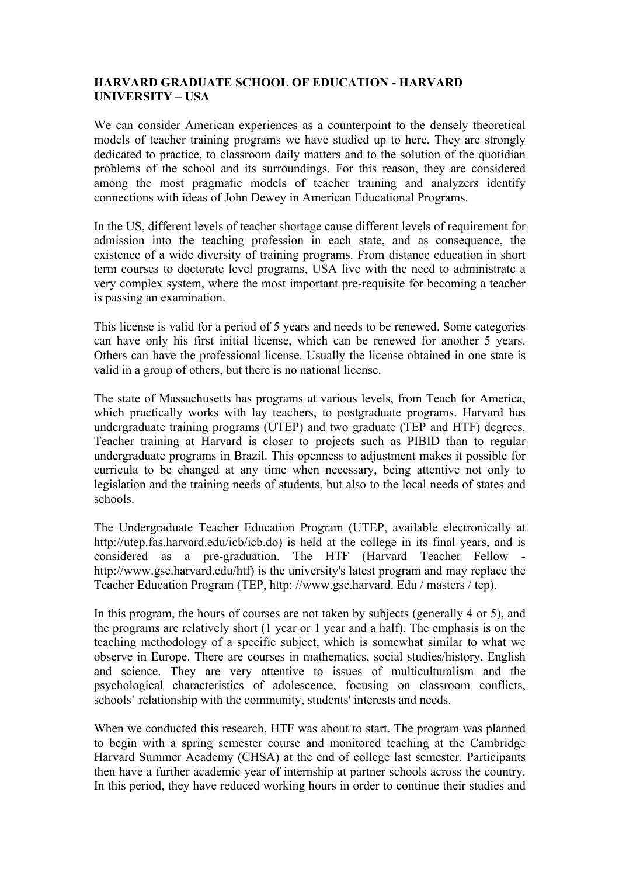### **HARVARD GRADUATE SCHOOL OF EDUCATION - HARVARD UNIVERSITY – USA**

We can consider American experiences as a counterpoint to the densely theoretical models of teacher training programs we have studied up to here. They are strongly dedicated to practice, to classroom daily matters and to the solution of the quotidian problems of the school and its surroundings. For this reason, they are considered among the most pragmatic models of teacher training and analyzers identify connections with ideas of John Dewey in American Educational Programs.

In the US, different levels of teacher shortage cause different levels of requirement for admission into the teaching profession in each state, and as consequence, the existence of a wide diversity of training programs. From distance education in short term courses to doctorate level programs, USA live with the need to administrate a very complex system, where the most important pre-requisite for becoming a teacher is passing an examination.

This license is valid for a period of 5 years and needs to be renewed. Some categories can have only his first initial license, which can be renewed for another 5 years. Others can have the professional license. Usually the license obtained in one state is valid in a group of others, but there is no national license.

The state of Massachusetts has programs at various levels, from Teach for America, which practically works with lay teachers, to postgraduate programs. Harvard has undergraduate training programs (UTEP) and two graduate (TEP and HTF) degrees. Teacher training at Harvard is closer to projects such as PIBID than to regular undergraduate programs in Brazil. This openness to adjustment makes it possible for curricula to be changed at any time when necessary, being attentive not only to legislation and the training needs of students, but also to the local needs of states and schools.

The Undergraduate Teacher Education Program (UTEP, available electronically at http://utep.fas.harvard.edu/icb/icb.do) is held at the college in its final years, and is considered as a pre-graduation. The HTF (Harvard Teacher Fellow http://www.gse.harvard.edu/htf) is the university's latest program and may replace the Teacher Education Program (TEP, http: //www.gse.harvard. Edu / masters / tep).

In this program, the hours of courses are not taken by subjects (generally 4 or 5), and the programs are relatively short (1 year or 1 year and a half). The emphasis is on the teaching methodology of a specific subject, which is somewhat similar to what we observe in Europe. There are courses in mathematics, social studies/history, English and science. They are very attentive to issues of multiculturalism and the psychological characteristics of adolescence, focusing on classroom conflicts, schools' relationship with the community, students' interests and needs.

When we conducted this research, HTF was about to start. The program was planned to begin with a spring semester course and monitored teaching at the Cambridge Harvard Summer Academy (CHSA) at the end of college last semester. Participants then have a further academic year of internship at partner schools across the country. In this period, they have reduced working hours in order to continue their studies and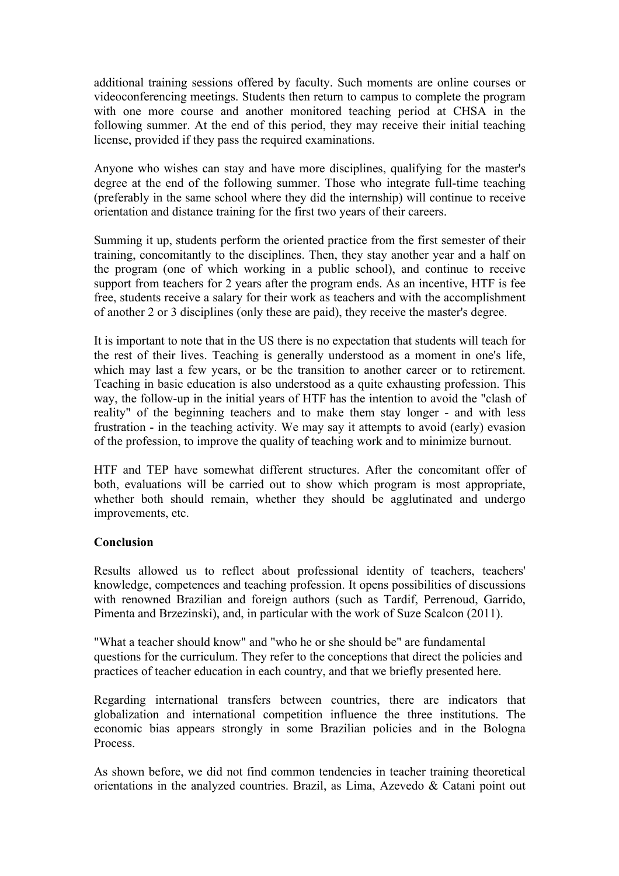additional training sessions offered by faculty. Such moments are online courses or videoconferencing meetings. Students then return to campus to complete the program with one more course and another monitored teaching period at CHSA in the following summer. At the end of this period, they may receive their initial teaching license, provided if they pass the required examinations.

Anyone who wishes can stay and have more disciplines, qualifying for the master's degree at the end of the following summer. Those who integrate full-time teaching (preferably in the same school where they did the internship) will continue to receive orientation and distance training for the first two years of their careers.

Summing it up, students perform the oriented practice from the first semester of their training, concomitantly to the disciplines. Then, they stay another year and a half on the program (one of which working in a public school), and continue to receive support from teachers for 2 years after the program ends. As an incentive, HTF is fee free, students receive a salary for their work as teachers and with the accomplishment of another 2 or 3 disciplines (only these are paid), they receive the master's degree.

It is important to note that in the US there is no expectation that students will teach for the rest of their lives. Teaching is generally understood as a moment in one's life, which may last a few years, or be the transition to another career or to retirement. Teaching in basic education is also understood as a quite exhausting profession. This way, the follow-up in the initial years of HTF has the intention to avoid the "clash of reality" of the beginning teachers and to make them stay longer - and with less frustration - in the teaching activity. We may say it attempts to avoid (early) evasion of the profession, to improve the quality of teaching work and to minimize burnout.

HTF and TEP have somewhat different structures. After the concomitant offer of both, evaluations will be carried out to show which program is most appropriate, whether both should remain, whether they should be agglutinated and undergo improvements, etc.

## **Conclusion**

Results allowed us to reflect about professional identity of teachers, teachers' knowledge, competences and teaching profession. It opens possibilities of discussions with renowned Brazilian and foreign authors (such as Tardif, Perrenoud, Garrido, Pimenta and Brzezinski), and, in particular with the work of Suze Scalcon (2011).

"What a teacher should know" and "who he or she should be" are fundamental questions for the curriculum. They refer to the conceptions that direct the policies and practices of teacher education in each country, and that we briefly presented here.

Regarding international transfers between countries, there are indicators that globalization and international competition influence the three institutions. The economic bias appears strongly in some Brazilian policies and in the Bologna Process.

As shown before, we did not find common tendencies in teacher training theoretical orientations in the analyzed countries. Brazil, as Lima, Azevedo & Catani point out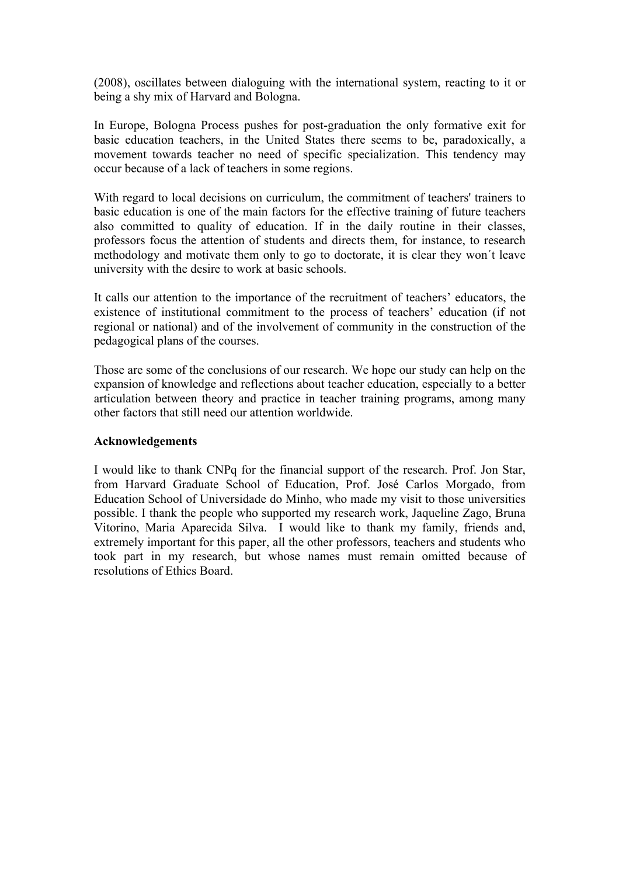(2008), oscillates between dialoguing with the international system, reacting to it or being a shy mix of Harvard and Bologna.

In Europe, Bologna Process pushes for post-graduation the only formative exit for basic education teachers, in the United States there seems to be, paradoxically, a movement towards teacher no need of specific specialization. This tendency may occur because of a lack of teachers in some regions.

With regard to local decisions on curriculum, the commitment of teachers' trainers to basic education is one of the main factors for the effective training of future teachers also committed to quality of education. If in the daily routine in their classes, professors focus the attention of students and directs them, for instance, to research methodology and motivate them only to go to doctorate, it is clear they won´t leave university with the desire to work at basic schools.

It calls our attention to the importance of the recruitment of teachers' educators, the existence of institutional commitment to the process of teachers' education (if not regional or national) and of the involvement of community in the construction of the pedagogical plans of the courses.

Those are some of the conclusions of our research. We hope our study can help on the expansion of knowledge and reflections about teacher education, especially to a better articulation between theory and practice in teacher training programs, among many other factors that still need our attention worldwide.

#### **Acknowledgements**

I would like to thank CNPq for the financial support of the research. Prof. Jon Star, from Harvard Graduate School of Education, Prof. José Carlos Morgado, from Education School of Universidade do Minho, who made my visit to those universities possible. I thank the people who supported my research work, Jaqueline Zago, Bruna Vitorino, Maria Aparecida Silva. I would like to thank my family, friends and, extremely important for this paper, all the other professors, teachers and students who took part in my research, but whose names must remain omitted because of resolutions of Ethics Board.